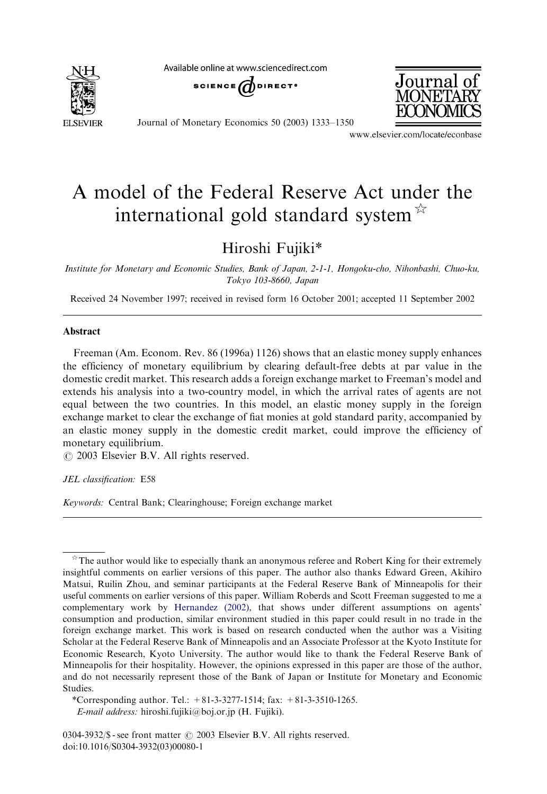**EI SEVIER** 

Available online at www.sciencedirect.com





Journal of Monetary Economics 50 (2003) 1333–1350

www.elsevier.com/locate/econbase

## A model of the Federal Reserve Act under the international gold standard system  $\overrightarrow{x}$

Hiroshi Fujiki\*

Institute for Monetary and Economic Studies, Bank of Japan, 2-1-1, Hongoku-cho, Nihonbashi, Chuo-ku, Tokyo 103-8660, Japan

Received 24 November 1997; received in revised form 16 October 2001; accepted 11 September 2002

## Abstract

Freeman (Am. Econom. Rev. 86 (1996a) 1126) shows that an elastic money supply enhances the efficiency of monetary equilibrium by clearingdefault-free debts at par value in the domestic credit market. This research adds a foreign exchange market to Freeman's model and extends his analysis into a two-country model, in which the arrival rates of agents are not equal between the two countries. In this model, an elastic money supply in the foreign exchange market to clear the exchange of fiat monies at gold standard parity, accompanied by an elastic money supply in the domestic credit market, could improve the efficiency of monetary equilibrium.

 $\odot$  2003 Elsevier B.V. All rights reserved.

JEL classification: E58

Keywords: Central Bank; Clearinghouse; Foreign exchange market

 $\hat{X}$ The author would like to especially thank an anonymous referee and Robert King for their extremely insightful comments on earlier versions of this paper. The author also thanks Edward Green, Akihiro Matsui, Ruilin Zhou, and seminar participants at the Federal Reserve Bank of Minneapolis for their useful comments on earlier versions of this paper. William Roberds and Scott Freeman suggested to me a complementary work by [Hernandez \(2002\)](#page--1-0), that shows under different assumptions on agents' consumption and production, similar environment studied in this paper could result in no trade in the foreign exchange market. This work is based on research conducted when the author was a Visiting Scholar at the Federal Reserve Bank of Minneapolis and an Associate Professor at the Kyoto Institute for Economic Research, Kyoto University. The author would like to thank the Federal Reserve Bank of Minneapolis for their hospitality. However, the opinions expressed in this paper are those of the author, and do not necessarily represent those of the Bank of Japan or Institute for Monetary and Economic Studies.

<sup>\*</sup>Correspondingauthor. Tel.: +81-3-3277-1514; fax: +81-3-3510-1265.

E-mail address: hiroshi.fujiki@boj.or.jp (H. Fujiki).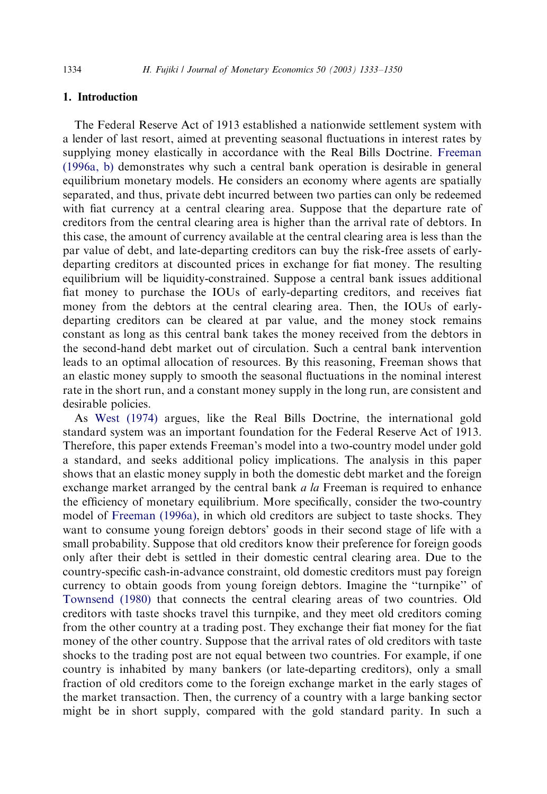## 1. Introduction

The Federal Reserve Act of 1913 established a nationwide settlement system with a lender of last resort, aimed at preventing seasonal fluctuations in interest rates by supplying money elastically in accordance with the Real Bills Doctrine. [Freeman](#page--1-0) [\(1996a, b\)](#page--1-0) demonstrates why such a central bank operation is desirable in general equilibrium monetary models. He considers an economy where agents are spatially separated, and thus, private debt incurred between two parties can only be redeemed with fiat currency at a central clearing area. Suppose that the departure rate of creditors from the central clearingarea is higher than the arrival rate of debtors. In this case, the amount of currency available at the central clearingarea is less than the par value of debt, and late-departing creditors can buy the risk-free assets of earlydeparting creditors at discounted prices in exchange for fiat money. The resulting equilibrium will be liquidity-constrained. Suppose a central bank issues additional fiat money to purchase the IOUs of early-departing creditors, and receives fiat money from the debtors at the central clearing area. Then, the IOUs of earlydeparting creditors can be cleared at par value, and the money stock remains constant as longas this central bank takes the money received from the debtors in the second-hand debt market out of circulation. Such a central bank intervention leads to an optimal allocation of resources. By this reasoning, Freeman shows that an elastic money supply to smooth the seasonal fluctuations in the nominal interest rate in the short run, and a constant money supply in the longrun, are consistent and desirable policies.

As [West \(1974\)](#page--1-0) argues, like the Real Bills Doctrine, the international gold standard system was an important foundation for the Federal Reserve Act of 1913. Therefore, this paper extends Freeman's model into a two-country model under gold a standard, and seeks additional policy implications. The analysis in this paper shows that an elastic money supply in both the domestic debt market and the foreign exchange market arranged by the central bank *a la* Freeman is required to enhance the efficiency of monetary equilibrium. More specifically, consider the two-country model of [Freeman \(1996a\)](#page--1-0), in which old creditors are subject to taste shocks. They want to consume young foreign debtors' goods in their second stage of life with a small probability. Suppose that old creditors know their preference for foreign goods only after their debt is settled in their domestic central clearingarea. Due to the country-specific cash-in-advance constraint, old domestic creditors must pay foreign currency to obtain goods from young foreign debtors. Imagine the ''turnpike'' of [Townsend \(1980\)](#page--1-0) that connects the central clearingareas of two countries. Old creditors with taste shocks travel this turnpike, and they meet old creditors coming from the other country at a trading post. They exchange their fiat money for the fiat money of the other country. Suppose that the arrival rates of old creditors with taste shocks to the trading post are not equal between two countries. For example, if one country is inhabited by many bankers (or late-departing creditors), only a small fraction of old creditors come to the foreign exchange market in the early stages of the market transaction. Then, the currency of a country with a large banking sector might be in short supply, compared with the gold standard parity. In such a